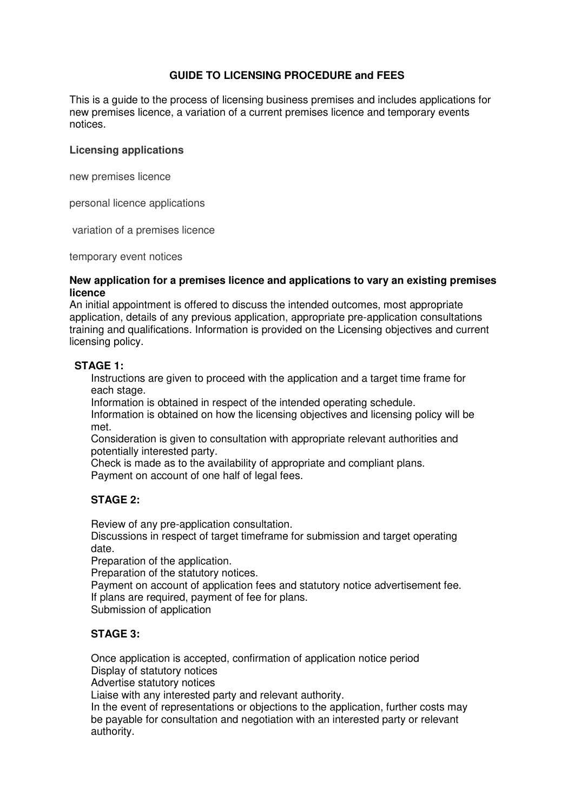## **GUIDE TO LICENSING PROCEDURE and FEES**

This is a guide to the process of licensing business premises and includes applications for new premises licence, a variation of a current premises licence and temporary events notices.

### **Licensing applications**

new premises licence

personal licence applications

variation of a premises licence

temporary event notices

#### **New application for a premises licence and applications to vary an existing premises licence**

An initial appointment is offered to discuss the intended outcomes, most appropriate application, details of any previous application, appropriate pre-application consultations training and qualifications. Information is provided on the Licensing objectives and current licensing policy.

### **STAGE 1:**

Instructions are given to proceed with the application and a target time frame for each stage.

Information is obtained in respect of the intended operating schedule.

Information is obtained on how the licensing objectives and licensing policy will be met.

Consideration is given to consultation with appropriate relevant authorities and potentially interested party.

Check is made as to the availability of appropriate and compliant plans. Payment on account of one half of legal fees.

## **STAGE 2:**

Review of any pre-application consultation.

Discussions in respect of target timeframe for submission and target operating date.

Preparation of the application.

Preparation of the statutory notices.

Payment on account of application fees and statutory notice advertisement fee. If plans are required, payment of fee for plans.

Submission of application

## **STAGE 3:**

Once application is accepted, confirmation of application notice period Display of statutory notices

Advertise statutory notices

Liaise with any interested party and relevant authority.

In the event of representations or objections to the application, further costs may be payable for consultation and negotiation with an interested party or relevant authority.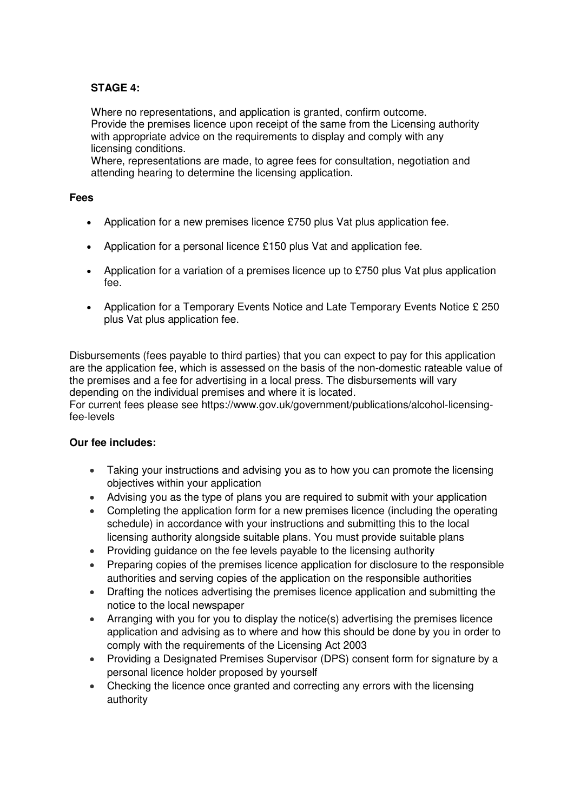# **STAGE 4:**

Where no representations, and application is granted, confirm outcome. Provide the premises licence upon receipt of the same from the Licensing authority with appropriate advice on the requirements to display and comply with any licensing conditions.

Where, representations are made, to agree fees for consultation, negotiation and attending hearing to determine the licensing application.

## **Fees**

- Application for a new premises licence £750 plus Vat plus application fee.
- Application for a personal licence £150 plus Vat and application fee.
- Application for a variation of a premises licence up to £750 plus Vat plus application fee.
- Application for a Temporary Events Notice and Late Temporary Events Notice £ 250 plus Vat plus application fee.

Disbursements (fees payable to third parties) that you can expect to pay for this application are the application fee, which is assessed on the basis of the non-domestic rateable value of the premises and a fee for advertising in a local press. The disbursements will vary depending on the individual premises and where it is located.

For current fees please see https://www.gov.uk/government/publications/alcohol-licensingfee-levels

## **Our fee includes:**

- Taking your instructions and advising you as to how you can promote the licensing objectives within your application
- Advising you as the type of plans you are required to submit with your application
- Completing the application form for a new premises licence (including the operating schedule) in accordance with your instructions and submitting this to the local licensing authority alongside suitable plans. You must provide suitable plans
- Providing guidance on the fee levels payable to the licensing authority
- Preparing copies of the premises licence application for disclosure to the responsible authorities and serving copies of the application on the responsible authorities
- Drafting the notices advertising the premises licence application and submitting the notice to the local newspaper
- Arranging with you for you to display the notice(s) advertising the premises licence application and advising as to where and how this should be done by you in order to comply with the requirements of the Licensing Act 2003
- Providing a Designated Premises Supervisor (DPS) consent form for signature by a personal licence holder proposed by yourself
- Checking the licence once granted and correcting any errors with the licensing authority